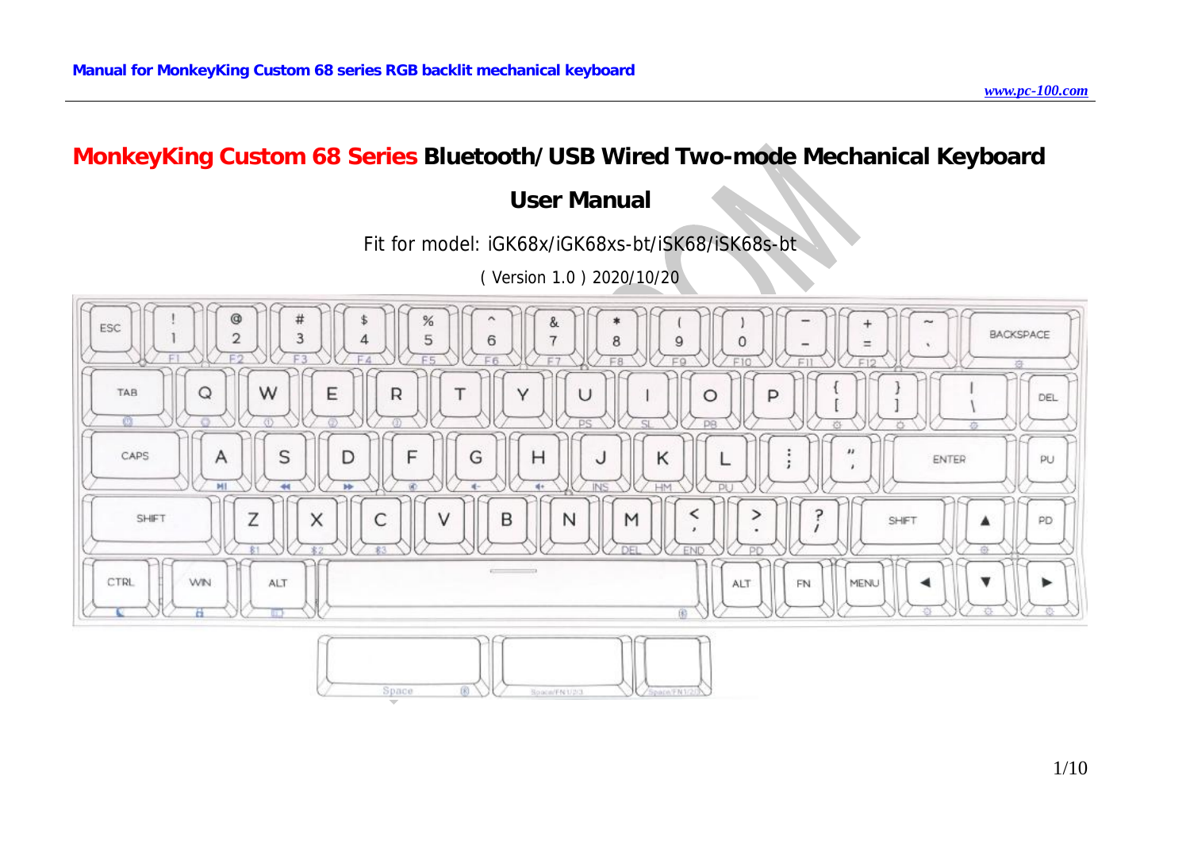# **MonkeyKing Custom 68 Series Bluetooth/USB Wired Two-mode Mechanical Keyboard**

## **User Manual**

Fit for model: iGK68x/iGK68xs-bt/iSK68/iSK68s-bt

( Version 1.0 ) 2020/10/20

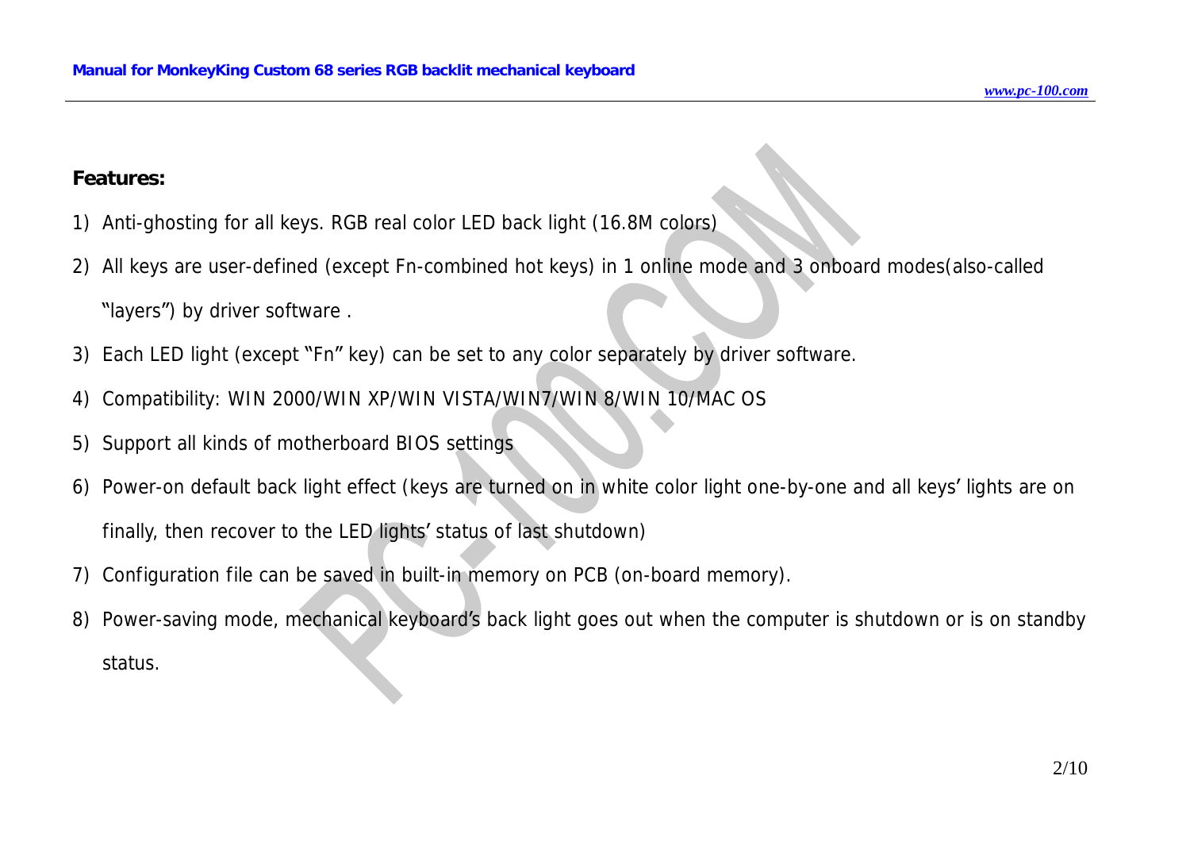#### **Features:**

- 1) Anti-ghosting for all keys. RGB real color LED back light (16.8M colors)
- *2)* All keys are user-defined (except Fn-combined hot keys) in 1 online mode and 3 onboard modes(also-called
	- "layers") by driver software .
- 3) Each LED light (except "Fn" key) can be set to any color separately by driver software.
- 4) Compatibility: WIN 2000/WIN XP/WIN VISTA/WIN7/WIN 8/WIN 10/MAC OS
- 5) Support all kinds of motherboard BIOS settings
- 6) Power-on default back light effect (keys are turned on in white color light one-by-one and all keys' lights are on finally, then recover to the LED lights' status of last shutdown)
- 7) Configuration file can be saved in built-in memory on PCB (on-board memory).
- 8) Power-saving mode, mechanical keyboard's back light goes out when the computer is shutdown or is on standby status.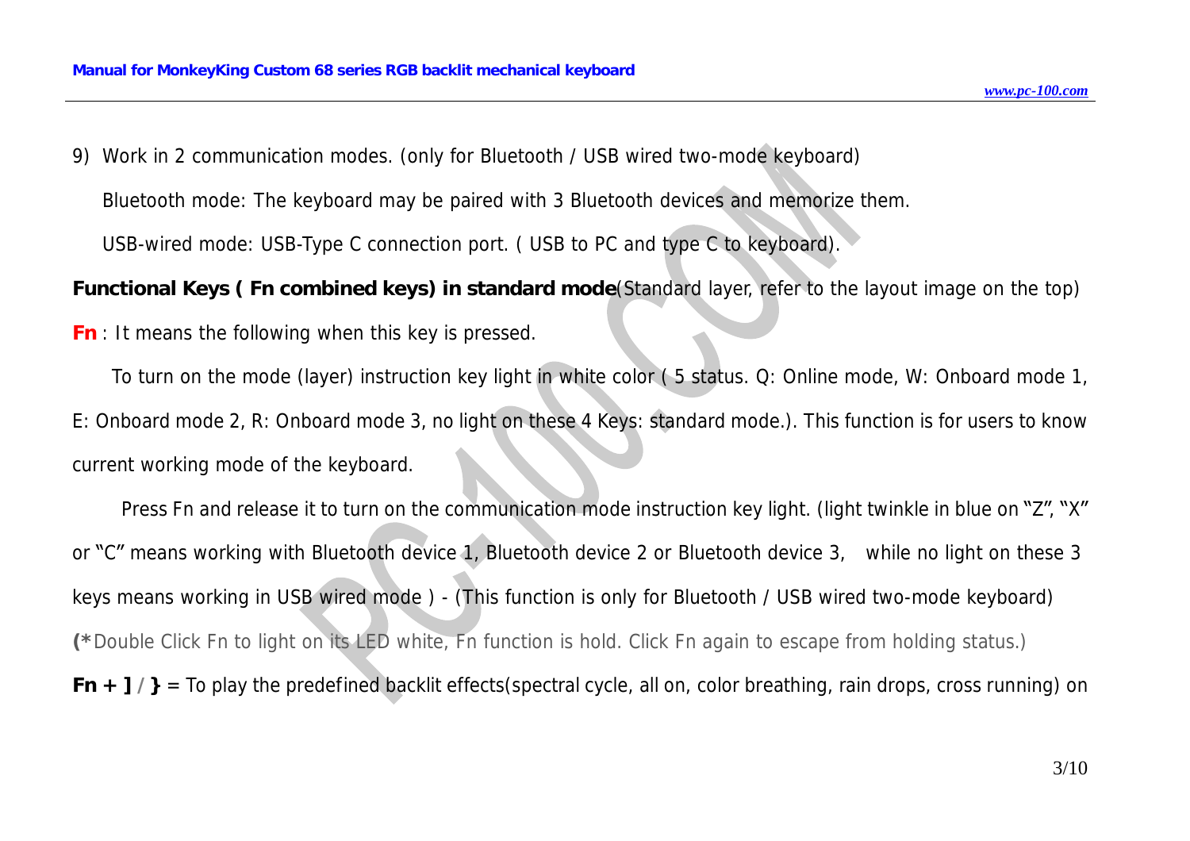9) Work in 2 communication modes. (only for Bluetooth / USB wired two-mode keyboard)

Bluetooth mode: The keyboard may be paired with 3 Bluetooth devices and memorize them.

USB-wired mode: USB-Type C connection port. ( USB to PC and type C to keyboard).

Functional Keys (Fn combined keys) in standard mode (Standard layer, refer to the layout image on the top)

*Fn* : It means the following when this key is pressed.

To turn on the mode (layer) instruction key light in white color ( 5 status. Q: Online mode, W: Onboard mode 1, E: Onboard mode 2, R: Onboard mode 3, no light on these 4 Keys: standard mode.). This function is for users to know current working mode of the keyboard.

 Press Fn and release it to turn on the communication mode instruction key light. (light twinkle in blue on "Z", "X" or "C" means working with Bluetooth device 1, Bluetooth device 2 or Bluetooth device 3, while no light on these 3 keys means working in USB wired mode ) - (This function is only for Bluetooth / USB wired two-mode keyboard) (\*Double Click Fn to light on its LED white, Fn function is hold. Click Fn again to escape from holding status.) *Fn*  $+$   $7/$ } = To play the predefined backlit effects(spectral cycle, all on, color breathing, rain drops, cross running) on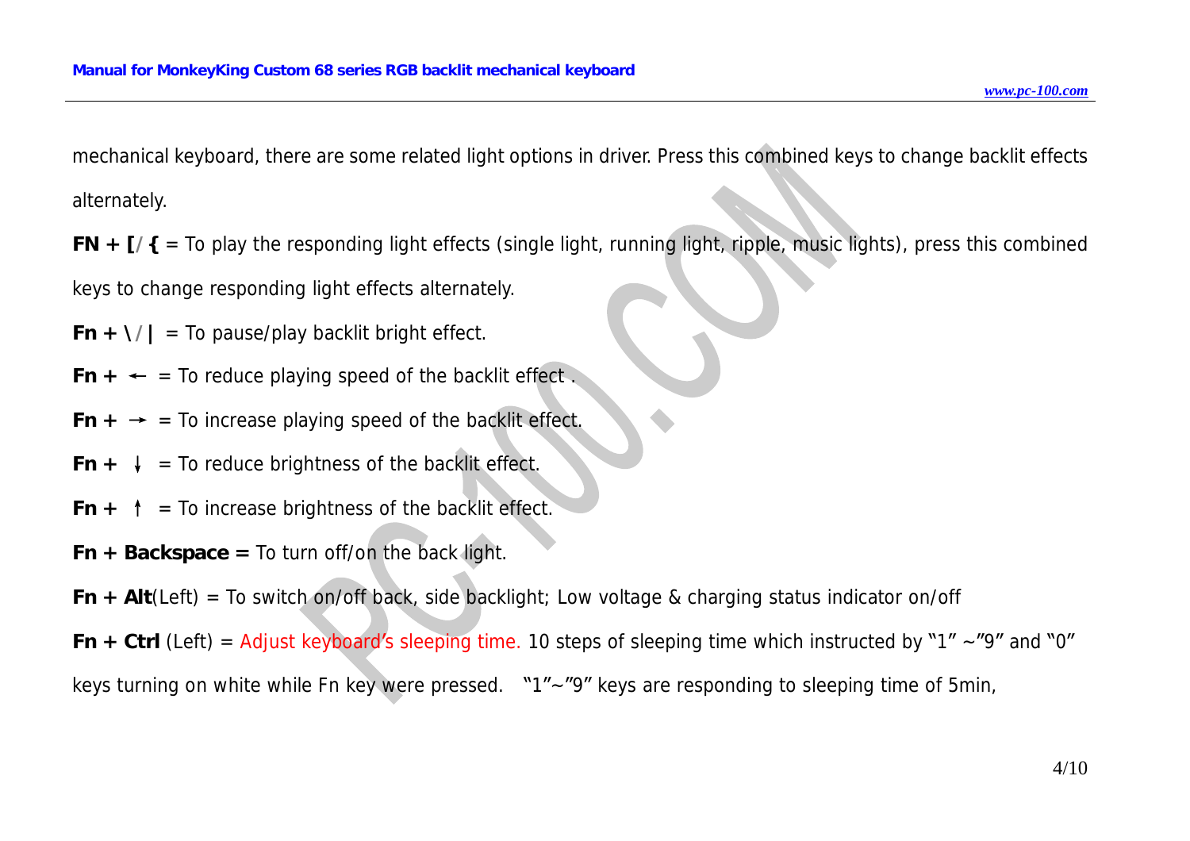mechanical keyboard, there are some related light options in driver. Press this combined keys to change backlit effects alternately.

*FN + [/{* = To play the responding light effects (single light, running light, ripple, music lights), press this combined keys to change responding light effects alternately.

*Fn* +  $\frac{1}{4}$  = To pause/play backlit bright effect.

 $Fn + \leftarrow$  = To reduce playing speed of the backlit effect.

- *Fn*  $\div$   $\div$  = To increase playing speed of the backlit effect.
- $Fn + \downarrow$  = To reduce brightness of the backlit effect.
- *Fn*  $+$   $\uparrow$  = To increase brightness of the backlit effect.
- *Fn + Backspace =* To turn off/on the back light.

*Fn + Alt*(Left) = To switch on/off back, side backlight; Low voltage & charging status indicator on/off

*Fn*  $+$  *Ctrl* (Left) = Adjust keyboard's sleeping time. 10 steps of sleeping time which instructed by "1" ~"9" and "0" keys turning on white while Fn key were pressed. "1"~"9" keys are responding to sleeping time of 5min,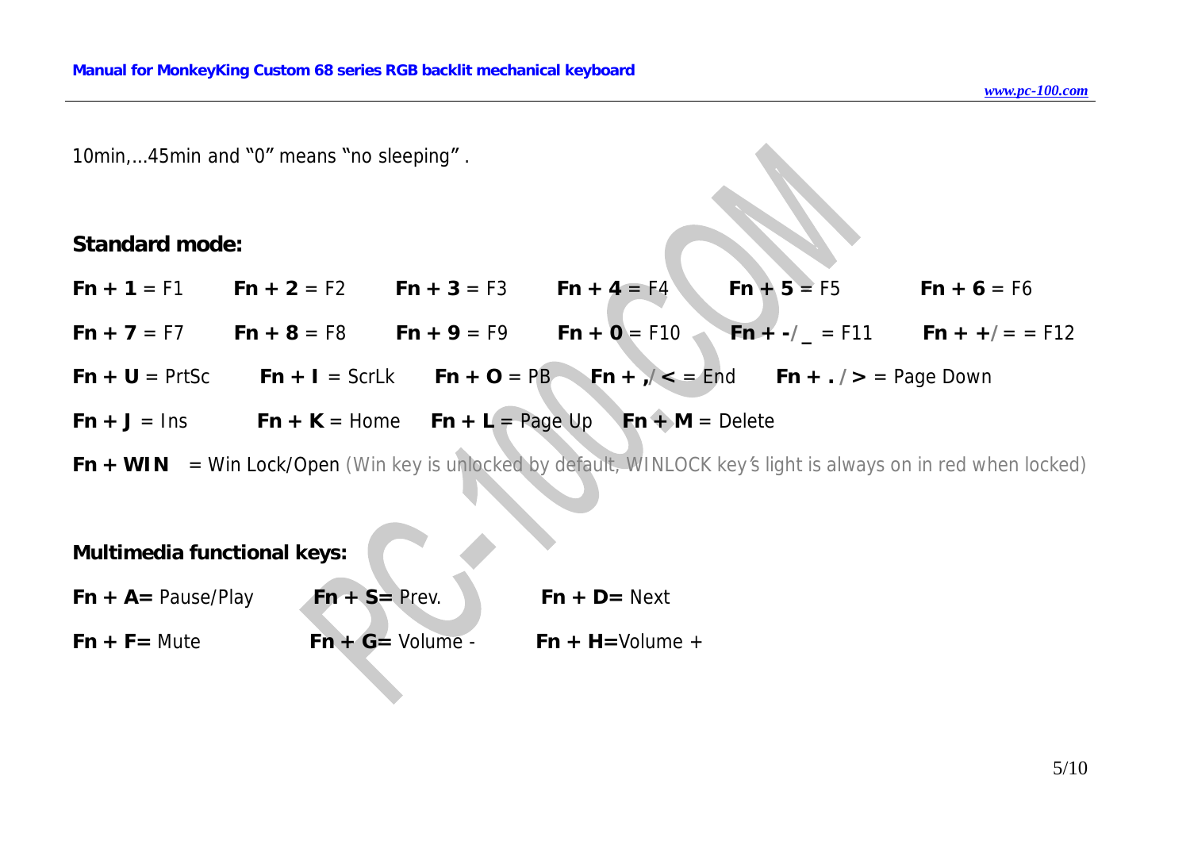10min,…45min and "0" means "no sleeping" .

#### **Standard mode:**

*Fn + 1* = F1 *Fn + 2* = F2 *Fn + 3* = F3 *Fn + 4* = F4 *Fn + 5* = F5 *Fn + 6* = F6 *Fn + 7* = F7 *Fn + 8* = F8 *Fn + 9* = F9 *Fn + 0* = F10 *Fn + -/\_* = F11 *Fn + +/*= = F12 *Fn* + *U* = PrtSc *Fn* + *I* = ScrLk *Fn* + *O* = PB *Fn* +  $\angle$  < = End *Fn* +  $\angle$  > = Page Down *Fn* + *J* = Ins *Fn* + *K* = Home *Fn* + *L* = Page Up *Fn* + *M* = Delete  $Fn + WIN =$  Win Lock/Open (Win key is unlocked by default, WINLOCK key's light is always on in red when locked)

**Multimedia functional keys:** 

 $Fn + A = \text{Pause/Play}$   $Fn + S = \text{Prev}.$   $Fn + D = \text{Next}$  $Fn + F =$  Mute  $Fn + G =$  Volume -  $Fn + H =$ Volume +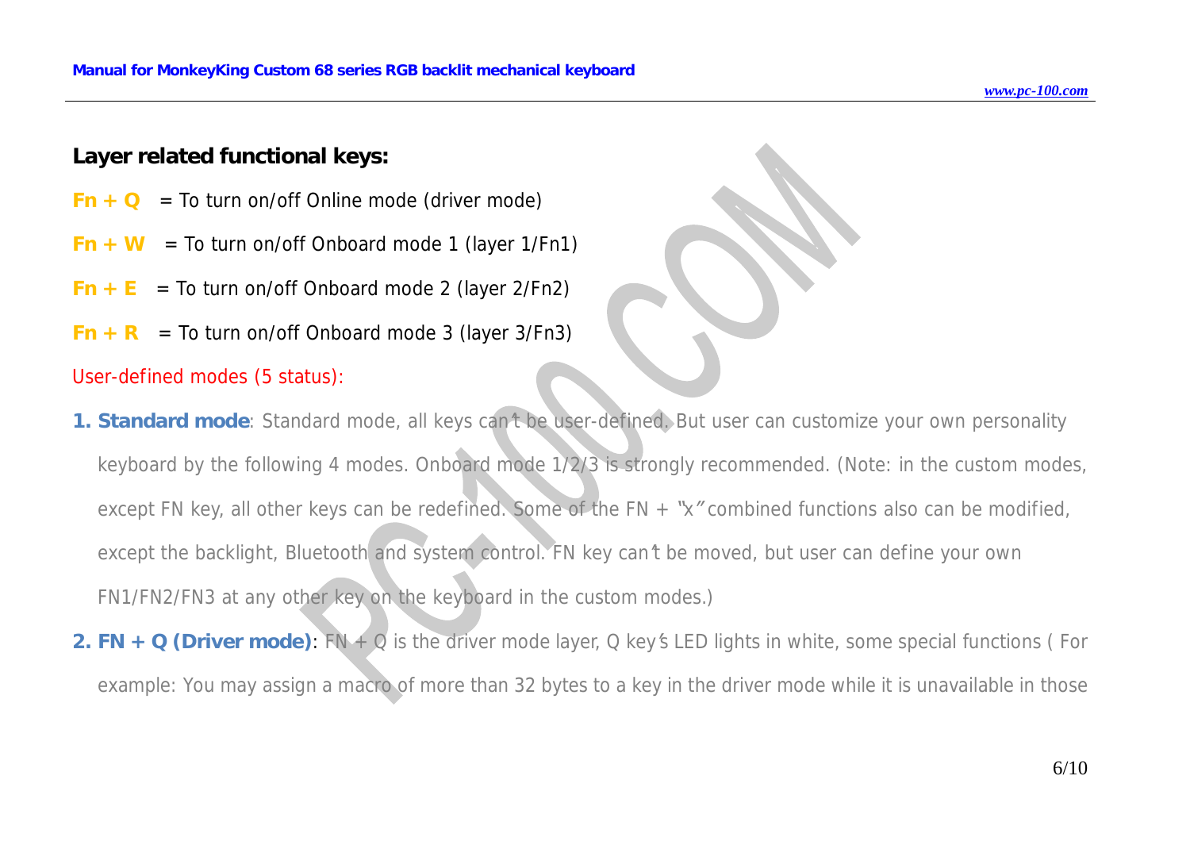#### **Layer related functional keys:**

- $Fn + Q = To turn on/off Online mode (driver mode)$
- $Fn + W = To turn on/off Onboard mode 1 (layer 1/Fn1)$
- $Fn + E = To turn on/off Onboard mode 2 (layer 2/Fn2)$
- $Fn + R$  = To turn on/off Onboard mode 3 (layer 3/Fn3)

#### *User-defined modes (5 status):*

- 1. Standard mode: Standard mode, all keys can't be user-defined. But user can customize your own personality *keyboard by the following 4 modes. Onboard mode 1/2/3 is strongly recommended. (Note: in the custom modes,*  except FN key, all other keys can be redefined. Some of the FN  $+$  "x" combined functions also can be modified, except the backlight, Bluetooth and system control. FN key can't be moved, but user can define your own *FN1/FN2/FN3 at any other key on the keyboard in the custom modes.)*
- 2. FN + Q (Driver mode):  $FN + Q$  is the driver mode layer, Q key's LED lights in white, some special functions (For example: You may assign a macro of more than 32 bytes to a key in the driver mode while it is unavailable in those

*[www.pc-100.com](http://www.pc-100.com)*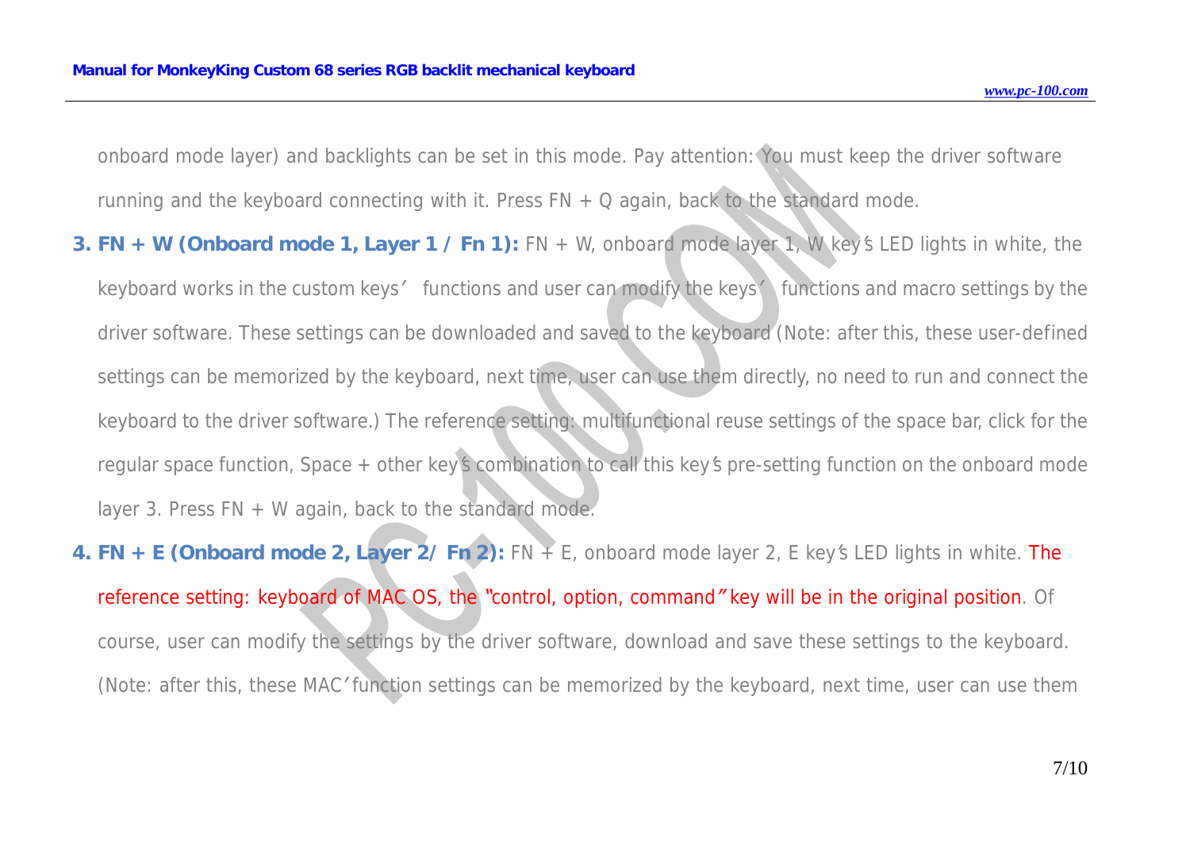onboard mode layer) and backlights can be set in this mode. Pay attention: You must keep the driver software *running and the keyboard connecting with it. Press FN + Q again, back to the standard mode.* 

- 3. FN + W (Onboard mode 1, Layer  $1$  / Fn 1): FN + W, onboard mode layer 1, W key's LED lights in white, the keyboard works in the custom keys' functions and user can modify the keys' functions and macro settings by the driver software. These settings can be downloaded and saved to the keyboard (Note: after this, these user-defined settings can be memorized by the keyboard, next time, user can use them directly, no need to run and connect the keyboard to the driver software.) The reference setting: multifunctional reuse settings of the space bar, click for the regular space function, Space + other key's combination to call this key's pre-setting function on the onboard mode *layer 3. Press FN + W again, back to the standard mode.*
- 4. FN + E (Onboard mode 2, Layer 2/ Fn 2): FN + E, onboard mode layer 2, E key's LED lights in white. The reference setting: keyboard of MAC OS, the "control, option, command" key will be in the original position. Of course, user can modify the settings by the driver software, download and save these settings to the keyboard. (Note: after this, these MAC' function settings can be memorized by the keyboard, next time, user can use them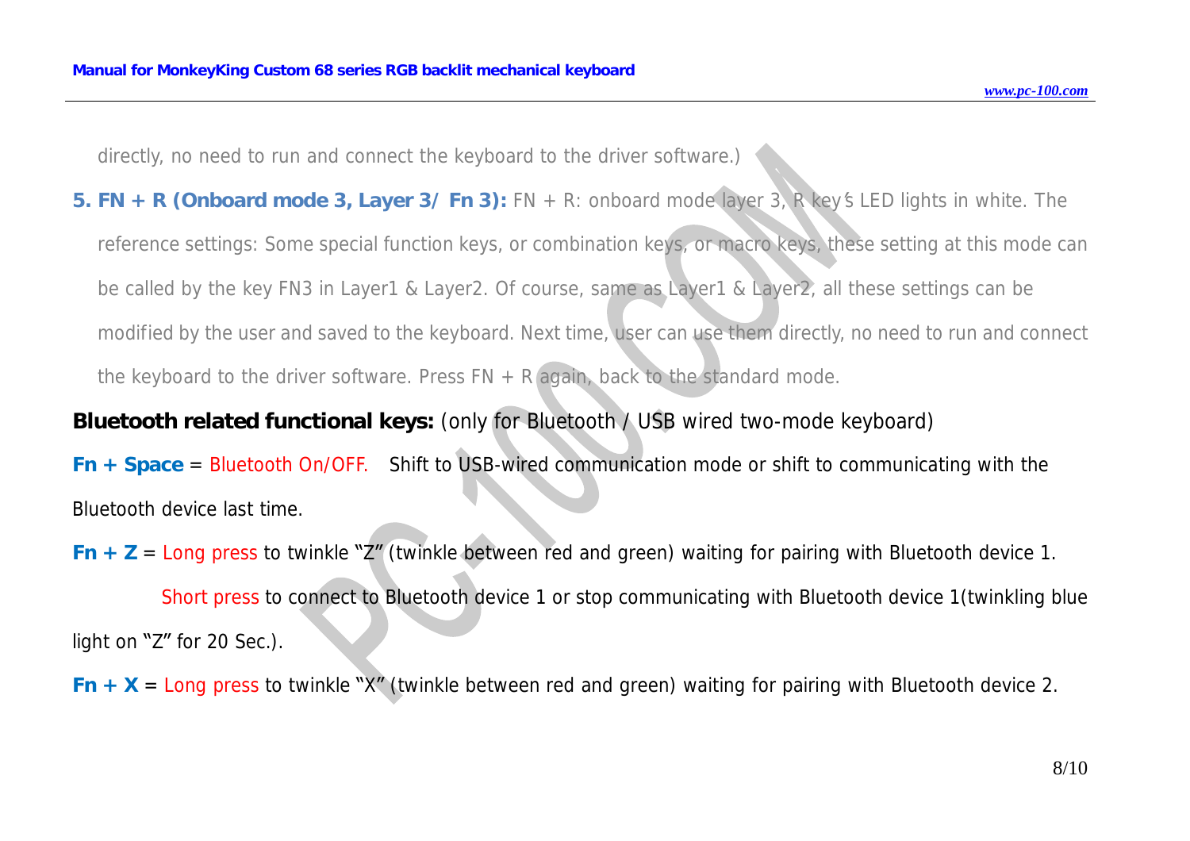*directly, no need to run and connect the keyboard to the driver software.)*

5. FN + R (Onboard mode 3, Layer 3/Fn 3): FN + R: onboard mode layer 3, R key's LED lights in white. The reference settings: Some special function keys, or combination keys, or macro keys, these setting at this mode can be called by the key FN3 in Layer1 & Layer2. Of course, same as Layer1 & Layer2, all these settings can be modified by the user and saved to the keyboard. Next time, user can use them directly, no need to run and connect *the keyboard to the driver software. Press FN + R again, back to the standard mode.*

### **Bluetooth related functional keys:** (only for Bluetooth / USB wired two-mode keyboard)

*Fn + Space* = Bluetooth On/OFF. Shift to USB-wired communication mode or shift to communicating with the Bluetooth device last time.

*Fn + Z* = Long press to twinkle "Z" (twinkle between red and green) waiting for pairing with Bluetooth device 1.

Short press to connect to Bluetooth device 1 or stop communicating with Bluetooth device 1(twinkling blue light on "Z" for 20 Sec.).

*Fn*  $+$  *X* = Long press to twinkle "X" (twinkle between red and green) waiting for pairing with Bluetooth device 2.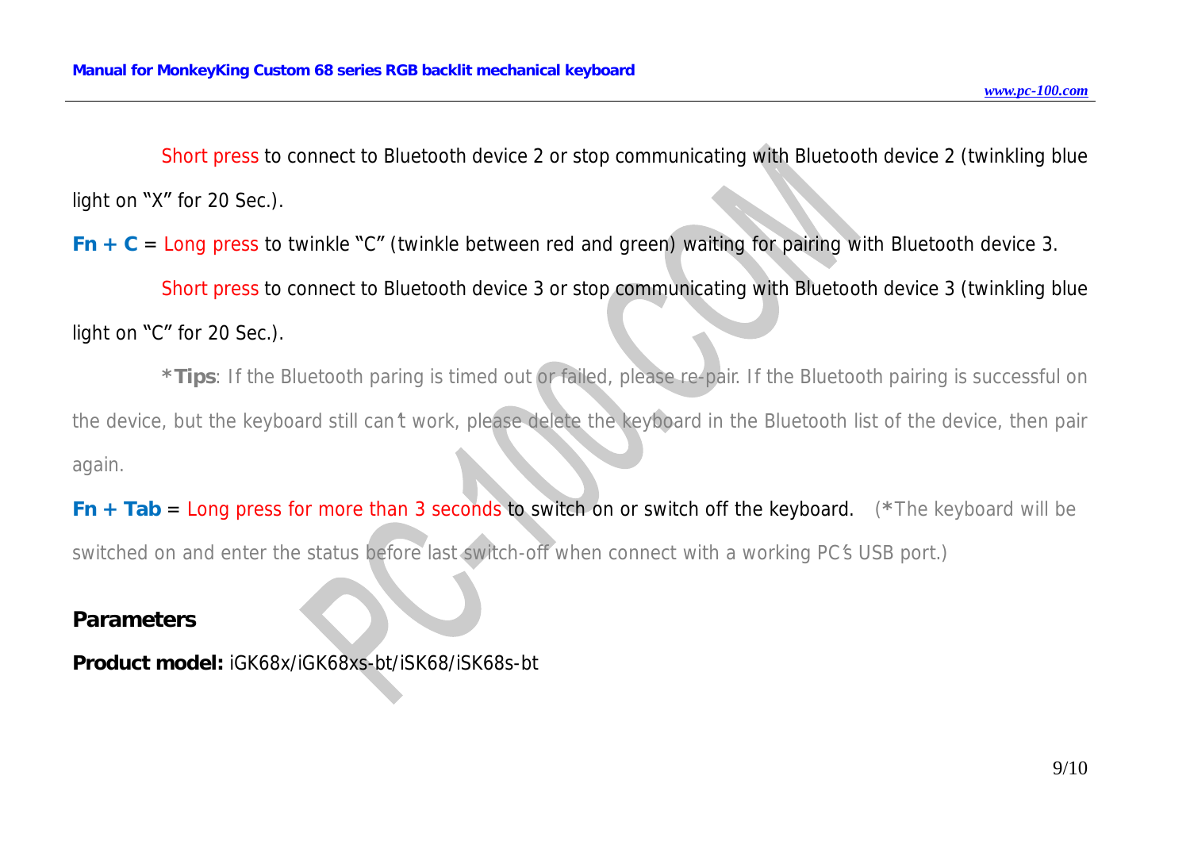Short press to connect to Bluetooth device 2 or stop communicating with Bluetooth device 2 (twinkling blue light on "X" for 20 Sec.).

*Fn*  $+$  *C* = Long press to twinkle "C" (twinkle between red and green) waiting for pairing with Bluetooth device 3.

Short press to connect to Bluetooth device 3 or stop communicating with Bluetooth device 3 (twinkling blue light on "C" for 20 Sec.).

\*Tips: If the Bluetooth paring is timed out or failed, please re-pair. If the Bluetooth pairing is successful on the device, but the keyboard still can't work, please delete the keyboard in the Bluetooth list of the device, then pair *again.* 

*Fn + Tab* = Long press for more than 3 seconds to switch on or switch off the keyboard. *(\*The keyboard will be*  switched on and enter the status before last switch-off when connect with a working PC's USB port.)

### **Parameters**

**Product model:** iGK68x/iGK68xs-bt/iSK68/iSK68s-bt